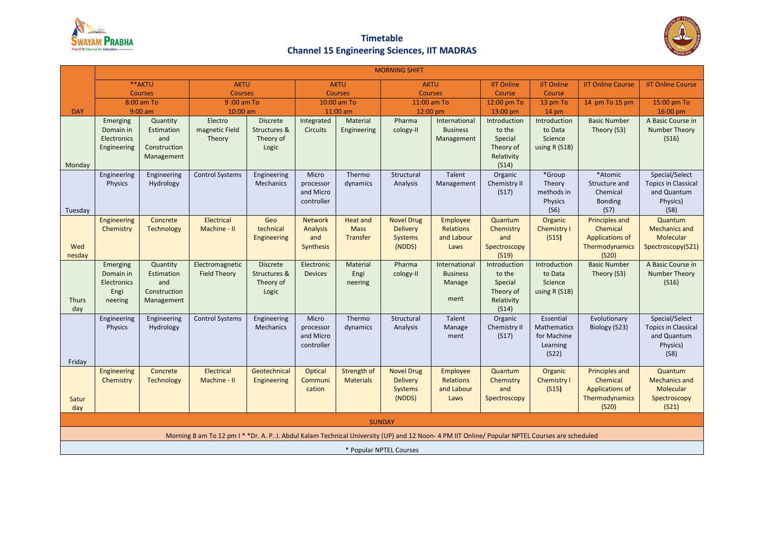

## **Timetable Channel 15 Engineering Sciences, IIT MADRAS**



|                                                                                                                                               | <b>MORNING SHIFT</b>                                    |                                                             |                                             |                                                       |                                                       |                                        |                                                                  |                                                    |                                                                       |                                                              |                                                                                        |                                                                                    |
|-----------------------------------------------------------------------------------------------------------------------------------------------|---------------------------------------------------------|-------------------------------------------------------------|---------------------------------------------|-------------------------------------------------------|-------------------------------------------------------|----------------------------------------|------------------------------------------------------------------|----------------------------------------------------|-----------------------------------------------------------------------|--------------------------------------------------------------|----------------------------------------------------------------------------------------|------------------------------------------------------------------------------------|
|                                                                                                                                               | **AKTU<br><b>Courses</b><br>8:00 am To                  |                                                             | <b>AKTU</b><br><b>Courses</b><br>9:00 am To |                                                       | <b>AKTU</b><br><b>Courses</b><br>10:00 am To          |                                        | <b>AKTU</b><br><b>Courses</b>                                    |                                                    | <b>IIT Online</b><br><b>IIT Online</b>                                |                                                              | <b>IIT Online Course</b>                                                               | <b>IIT Online Course</b>                                                           |
|                                                                                                                                               |                                                         |                                                             |                                             |                                                       |                                                       |                                        |                                                                  |                                                    | Course<br>12:00 pm To                                                 | Course                                                       | 14 pm To 15 pm                                                                         | 15:00 pm To                                                                        |
| <b>DAY</b>                                                                                                                                    | $9:00$ am                                               |                                                             | 10:00 am                                    |                                                       | $11:00$ am                                            |                                        | 11:00 am To<br>12:00 pm                                          |                                                    | 13:00 pm                                                              | 13 pm To<br>$14 \text{ pm}$                                  |                                                                                        | 16:00 pm                                                                           |
|                                                                                                                                               | Emerging<br>Quantity                                    |                                                             | Electro<br><b>Discrete</b>                  |                                                       | Integrated<br>Material                                |                                        | Pharma<br>International                                          |                                                    | Introduction                                                          | Introduction                                                 | <b>Basic Number</b>                                                                    | A Basic Course in                                                                  |
| Monday                                                                                                                                        | Domain in<br>Electronics<br>Engineering                 | Estimation<br>and<br>Construction<br>Management             | magnetic Field<br>Theory                    | Structures &<br>Theory of<br>Logic                    | <b>Circuits</b>                                       | Engineering                            | cology-II                                                        | <b>Business</b><br>Management                      | to the<br>Special<br>Theory of<br>Relativity<br>(S14)                 | to Data<br>Science<br>using R (S18)                          | Theory (S3)                                                                            | <b>Number Theory</b><br>(S16)                                                      |
| Tuesday                                                                                                                                       | Engineering<br>Physics                                  | Engineering<br>Hydrology                                    | <b>Control Systems</b>                      | Engineering<br>Mechanics                              | Micro<br>processor<br>and Micro<br>controller         | Thermo<br>dynamics                     | Structural<br>Analysis                                           | Talent<br>Management                               | Organic<br>Chemistry II<br>(S17)                                      | *Group<br>Theory<br>methods in<br>Physics<br>(S6)            | *Atomic<br>Structure and<br>Chemical<br><b>Bonding</b><br>(S7)                         | Special/Select<br><b>Topics in Classical</b><br>and Quantum<br>Physics)<br>(S8)    |
| Wed<br>nesday                                                                                                                                 | Engineering<br>Chemistry                                | Concrete<br><b>Technology</b>                               | Electrical<br>Machine - II                  | Geo<br>technical<br>Engineering                       | <b>Network</b><br><b>Analysis</b><br>and<br>Synthesis | Heat and<br><b>Mass</b><br>Transfer    | <b>Novel Drug</b><br><b>Delivery</b><br><b>Systems</b><br>(NDDS) | Employee<br><b>Relations</b><br>and Labour<br>Laws | Quantum<br>Chemistry<br>and<br>Spectroscopy<br>(S19)                  | Organic<br>Chemistry I<br>(S15)                              | <b>Principles and</b><br>Chemical<br><b>Applications of</b><br>Thermodynamics<br>(S20) | Quantum<br><b>Mechanics and</b><br>Molecular<br>Spectroscopy(S21)                  |
| <b>Thurs</b><br>day                                                                                                                           | Emerging<br>Domain in<br>Electronics<br>Engi<br>neering | Quantity<br>Estimation<br>and<br>Construction<br>Management | Electromagnetic<br><b>Field Theory</b>      | <b>Discrete</b><br>Structures &<br>Theory of<br>Logic | Electronic<br><b>Devices</b>                          | Material<br>Engi<br>neering            | Pharma<br>cology-II                                              | International<br><b>Business</b><br>Manage<br>ment | Introduction<br>to the<br>Special<br>Theory of<br>Relativity<br>(S14) | Introduction<br>to Data<br>Science<br>using R (S18)          | <b>Basic Number</b><br>Theory (S3)                                                     | A Basic Course in<br><b>Number Theory</b><br>(S16)                                 |
| Friday                                                                                                                                        | Engineering<br>Physics                                  | Engineering<br>Hydrology                                    | <b>Control Systems</b>                      | Engineering<br>Mechanics                              | Micro<br>processor<br>and Micro<br>controller         | Thermo<br>dynamics                     | Structural<br>Analysis                                           | Talent<br>Manage<br>ment                           | Organic<br>Chemistry II<br>(S17)                                      | Essential<br>Mathematics<br>for Machine<br>Learning<br>(S22) | Evolutionary<br>Biology (S23)                                                          | Special/Select<br><b>Topics in Classical</b><br>and Quantum<br>Physics)<br>(S8)    |
| Satur<br>day                                                                                                                                  | Engineering<br>Chemistry                                | Concrete<br><b>Technology</b>                               | Electrical<br>Machine - II                  | Geotechnical<br>Engineering                           | Optical<br>Communi<br>cation                          | <b>Strength of</b><br><b>Materials</b> | <b>Novel Drug</b><br><b>Delivery</b><br>Systems<br>(NDDS)        | Employee<br><b>Relations</b><br>and Labour<br>Laws | Quantum<br>Chemistry<br>and<br>Spectroscopy                           | Organic<br>Chemistry I<br>(S15)                              | <b>Principles and</b><br>Chemical<br><b>Applications of</b><br>Thermodynamics<br>(S20) | Quantum<br><b>Mechanics and</b><br>Molecular<br>Spectroscopy<br>(S <sub>21</sub> ) |
|                                                                                                                                               |                                                         |                                                             |                                             |                                                       |                                                       | <b>SUNDAY</b>                          |                                                                  |                                                    |                                                                       |                                                              |                                                                                        |                                                                                    |
| Morning 8 am To 12 pm I * *Dr. A. P. J. Abdul Kalam Technical University (UP) and 12 Noon-4 PM IIT Online/Popular NPTEL Courses are scheduled |                                                         |                                                             |                                             |                                                       |                                                       |                                        |                                                                  |                                                    |                                                                       |                                                              |                                                                                        |                                                                                    |
| * Popular NPTEL Courses                                                                                                                       |                                                         |                                                             |                                             |                                                       |                                                       |                                        |                                                                  |                                                    |                                                                       |                                                              |                                                                                        |                                                                                    |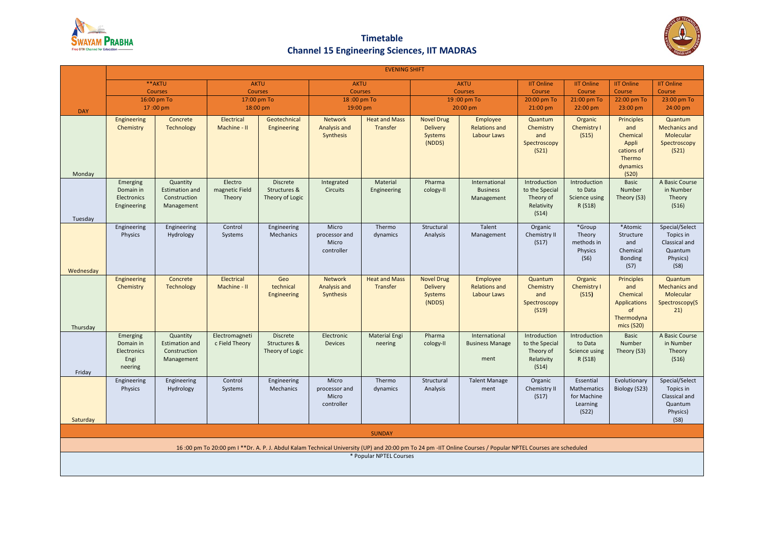

## **Timetable Channel 15 Engineering Sciences, IIT MADRAS**



|                                                                                                                                                             | <b>EVENING SHIFT</b>                                    |                                                                 |                                     |                                                    |                                               |                                  |                                                           |                                                 |                                                                    |                                                              |                                                                                            |                                                                             |
|-------------------------------------------------------------------------------------------------------------------------------------------------------------|---------------------------------------------------------|-----------------------------------------------------------------|-------------------------------------|----------------------------------------------------|-----------------------------------------------|----------------------------------|-----------------------------------------------------------|-------------------------------------------------|--------------------------------------------------------------------|--------------------------------------------------------------|--------------------------------------------------------------------------------------------|-----------------------------------------------------------------------------|
|                                                                                                                                                             | **AKTU                                                  |                                                                 | <b>AKTU</b>                         |                                                    | <b>AKTU</b>                                   |                                  | <b>AKTU</b>                                               |                                                 | <b>IIT Online</b>                                                  | <b>IIT Online</b>                                            | <b>IIT Online</b>                                                                          | <b>IIT Online</b>                                                           |
|                                                                                                                                                             | <b>Courses</b><br>16:00 pm To                           |                                                                 | <b>Courses</b>                      |                                                    | <b>Courses</b><br>18:00 pm To                 |                                  | <b>Courses</b>                                            |                                                 | Course<br>20:00 pm To                                              | Course                                                       | Course<br>22:00 pm To                                                                      | Course<br>23:00 pm To                                                       |
| <b>DAY</b>                                                                                                                                                  | 17:00 pm                                                |                                                                 | 17:00 pm To<br>18:00 pm             |                                                    | 19:00 pm                                      |                                  | 19:00 pm To<br>20:00 pm                                   |                                                 | $21:00 \text{ pm}$                                                 | 21:00 pm To<br>22:00 pm                                      | 23:00 pm                                                                                   | 24:00 pm                                                                    |
| Monday                                                                                                                                                      | Engineering<br>Chemistry                                | Concrete<br><b>Technology</b>                                   | Electrical<br>Machine - II          | Geotechnical<br>Engineering                        | Network<br>Analysis and<br>Synthesis          | <b>Heat and Mass</b><br>Transfer | <b>Novel Drug</b><br><b>Delivery</b><br>Systems<br>(NDDS) | Employee<br><b>Relations and</b><br>Labour Laws | Quantum<br>Chemistry<br>and<br>Spectroscopy<br>(S <sub>21</sub> )  | Organic<br>Chemistry I<br>(S15)                              | <b>Principles</b><br>and<br>Chemical<br>Appli<br>cations of<br>Thermo<br>dynamics<br>(S20) | Quantum<br><b>Mechanics and</b><br>Molecular<br>Spectroscopy<br>(S21)       |
| Tuesday                                                                                                                                                     | Emerging<br>Domain in<br>Electronics<br>Engineering     | Quantity<br><b>Estimation and</b><br>Construction<br>Management | Electro<br>magnetic Field<br>Theory | <b>Discrete</b><br>Structures &<br>Theory of Logic | Integrated<br><b>Circuits</b>                 | Material<br>Engineering          | Pharma<br>cology-II                                       | International<br><b>Business</b><br>Management  | Introduction<br>to the Special<br>Theory of<br>Relativity<br>(S14) | Introduction<br>to Data<br>Science using<br>R (S18)          | <b>Basic</b><br>Number<br>Theory (S3)                                                      | A Basic Course<br>in Number<br>Theory<br>(S16)                              |
| Wednesday                                                                                                                                                   | Engineering<br>Physics                                  | Engineering<br>Hydrology                                        | Control<br>Systems                  | Engineering<br>Mechanics                           | Micro<br>processor and<br>Micro<br>controller | Thermo<br>dynamics               | Structural<br>Analysis                                    | Talent<br>Management                            | Organic<br>Chemistry II<br>(S17)                                   | *Group<br>Theory<br>methods in<br>Physics<br>(S6)            | *Atomic<br>Structure<br>and<br>Chemical<br>Bonding<br>(S7)                                 | Special/Select<br>Topics in<br>Classical and<br>Quantum<br>Physics)<br>(S8) |
| Thursday                                                                                                                                                    | Engineering<br>Chemistry                                | Concrete<br><b>Technology</b>                                   | Electrical<br>Machine - II          | Geo<br>technical<br>Engineering                    | Network<br>Analysis and<br>Synthesis          | <b>Heat and Mass</b><br>Transfer | <b>Novel Drug</b><br><b>Delivery</b><br>Systems<br>(NDDS) | Employee<br><b>Relations and</b><br>Labour Laws | Quantum<br>Chemistry<br>and<br>Spectroscopy<br>(S19)               | Organic<br>Chemistry I<br>(S15)                              | Principles<br>and<br>Chemical<br><b>Applications</b><br>of<br>Thermodyna<br>mics (S20)     | Quantum<br><b>Mechanics and</b><br>Molecular<br>Spectroscopy(S<br>21)       |
| Friday                                                                                                                                                      | Emerging<br>Domain in<br>Electronics<br>Engi<br>neering | Quantity<br><b>Estimation and</b><br>Construction<br>Management | Electromagneti<br>c Field Theory    | <b>Discrete</b><br>Structures &<br>Theory of Logic | Electronic<br><b>Devices</b>                  | <b>Material Engi</b><br>neering  | Pharma<br>cology-II                                       | International<br><b>Business Manage</b><br>ment | Introduction<br>to the Special<br>Theory of<br>Relativity<br>(S14) | Introduction<br>to Data<br>Science using<br>R (S18)          | Basic<br>Number<br>Theory (S3)                                                             | A Basic Course<br>in Number<br>Theory<br>(S16)                              |
| Saturday                                                                                                                                                    | Engineering<br>Physics                                  | Engineering<br>Hydrology                                        | Control<br>Systems                  | Engineering<br>Mechanics                           | Micro<br>processor and<br>Micro<br>controller | Thermo<br>dynamics               | Structural<br>Analysis                                    | <b>Talent Manage</b><br>ment                    | Organic<br>Chemistry II<br>(S17)                                   | Essential<br>Mathematics<br>for Machine<br>Learning<br>(S22) | Evolutionary<br>Biology (S23)                                                              | Special/Select<br>Topics in<br>Classical and<br>Quantum<br>Physics)<br>(S8) |
| <b>SUNDAY</b>                                                                                                                                               |                                                         |                                                                 |                                     |                                                    |                                               |                                  |                                                           |                                                 |                                                                    |                                                              |                                                                                            |                                                                             |
| 16:00 pm To 20:00 pm I **Dr. A. P. J. Abdul Kalam Technical University (UP) and 20:00 pm To 24 pm -IIT Online Courses / Popular NPTEL Courses are scheduled |                                                         |                                                                 |                                     |                                                    |                                               |                                  |                                                           |                                                 |                                                                    |                                                              |                                                                                            |                                                                             |
| * Popular NPTEL Courses                                                                                                                                     |                                                         |                                                                 |                                     |                                                    |                                               |                                  |                                                           |                                                 |                                                                    |                                                              |                                                                                            |                                                                             |